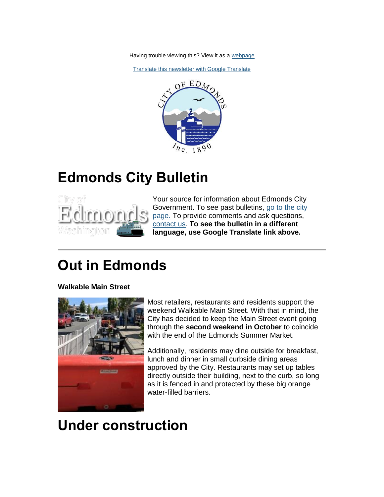Having trouble viewing this? View it as a [webpage](https://content.govdelivery.com/accounts/WAEDMONDS/bulletins/29bc465)

[Translate this newsletter with Google Translate](https://translate.google.com/translate?sl=en&tl=es&u=https%3A%2F%2Fcontent.govdelivery.com%2Faccounts%2FWAEDMONDS%2Fbulletins%2F29bc465)



## **Edmonds City Bulletin**



Your source for information about Edmonds City Government. To see past bulletins, [go to the city](http://www.edmondswa.gov/edmonds-city-bulletin.html)  [page.](http://www.edmondswa.gov/edmonds-city-bulletin.html) To provide comments and ask questions, [contact us.](mailto:jamie.holter@edmondswa.gov) **To see the bulletin in a different language, use Google Translate link above.**

# **Out in Edmonds**

**Walkable Main Street**



Most retailers, restaurants and residents support the weekend Walkable Main Street. With that in mind, the City has decided to keep the Main Street event going through the **second weekend in October** to coincide with the end of the Edmonds Summer Market.

Additionally, residents may dine outside for breakfast, lunch and dinner in small curbside dining areas approved by the City. Restaurants may set up tables directly outside their building, next to the curb, so long as it is fenced in and protected by these big orange water-filled barriers.

# **Under construction**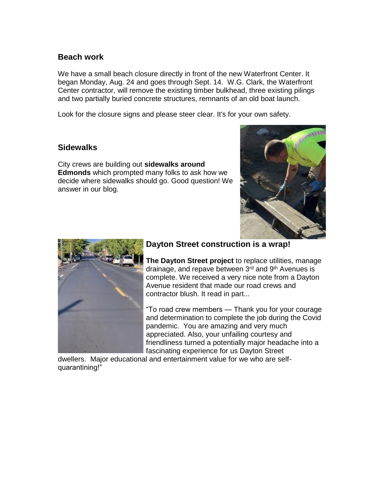#### **Beach work**

We have a small beach closure directly in front of the new Waterfront Center. It began Monday, Aug. 24 and goes through Sept. 14. W.G. Clark, the Waterfront Center contractor, will remove the existing timber bulkhead, three existing pilings and two partially buried concrete structures, remnants of an old boat launch.

Look for the closure signs and please steer clear. It's for your own safety.

#### **Sidewalks**

City crews are building out **sidewalks around Edmonds** which prompted many folks to ask how we decide where sidewalks should go. Good question! We answer in our blog.





### **Dayton Street construction is a wrap!**

**The Dayton Street project** to replace utilities, manage drainage, and repave between 3<sup>rd</sup> and 9<sup>th</sup> Avenues is complete. We received a very nice note from a Dayton Avenue resident that made our road crews and contractor blush. It read in part...

"To road crew members — Thank you for your courage and determination to complete the job during the Covid pandemic. You are amazing and very much appreciated. Also, your unfailing courtesy and friendliness turned a potentially major headache into a fascinating experience for us Dayton Street

dwellers. Major educational and entertainment value for we who are selfquarantining!"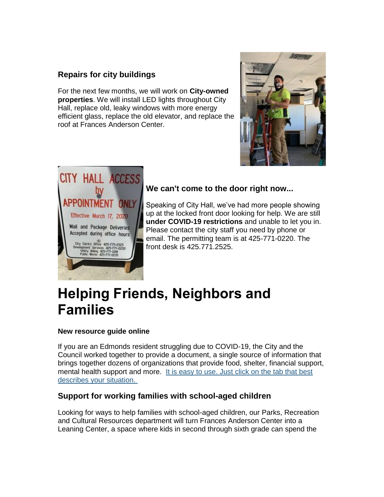### **Repairs for city buildings**

For the next few months, we will work on **City-owned properties**. We will install LED lights throughout City Hall, replace old, leaky windows with more energy efficient glass, replace the old elevator, and replace the roof at Frances Anderson Center.





### **We can't come to the door right now...**

Speaking of City Hall, we've had more people showing up at the locked front door looking for help. We are still **under COVID-19 restrictions** and unable to let you in. Please contact the city staff you need by phone or email. The permitting team is at 425-771-0220. The front desk is 425.771.2525.

### **Helping Friends, Neighbors and Families**

#### **New resource guide online**

If you are an Edmonds resident struggling due to COVID-19, the City and the Council worked together to provide a document, a single source of information that brings together dozens of organizations that provide food, shelter, financial support, mental health support and more. [It is easy to use. Just click on the tab that best](http://www.edmondswa.gov/human-services.html)  [describes your situation.](http://www.edmondswa.gov/human-services.html)

#### **Support for working families with school-aged children**

Looking for ways to help families with school-aged children, our Parks, Recreation and Cultural Resources department will turn Frances Anderson Center into a Leaning Center, a space where kids in second through sixth grade can spend the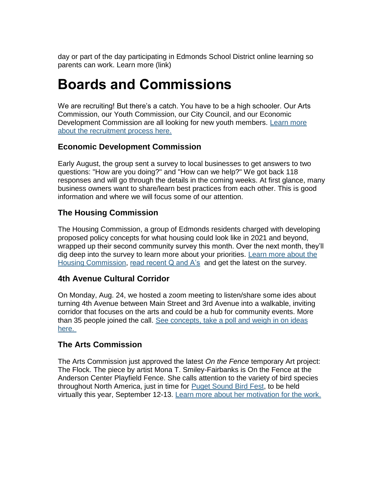day or part of the day participating in Edmonds School District online learning so parents can work. Learn more (link)

## **Boards and Commissions**

We are recruiting! But there's a catch. You have to be a high schooler. Our Arts Commission, our Youth Commission, our City Council, and our Economic Development Commission are all looking for new youth members. [Learn more](http://www.edmondswa.gov/images/COE/Press_Release/PDF/2020/V4_Student_Rep_Press_Release_2020.pdf)  [about the recruitment process here.](http://www.edmondswa.gov/images/COE/Press_Release/PDF/2020/V4_Student_Rep_Press_Release_2020.pdf)

#### **Economic Development Commission**

Early August, the group sent a survey to local businesses to get answers to two questions: "How are you doing?" and "How can we help?" We got back 118 responses and will go through the details in the coming weeks. At first glance, many business owners want to share/learn best practices from each other. This is good information and where we will focus some of our attention.

### **The Housing Commission**

The Housing Commission, a group of Edmonds residents charged with developing proposed policy concepts for what housing could look like in 2021 and beyond, wrapped up their second community survey this month. Over the next month, they'll dig deep into the survey to learn more about your priorities. [Learn more about the](https://www.cityofedmondswa.com/post/learn-edmonds-housing-commission)  [Housing Commission,](https://www.cityofedmondswa.com/post/learn-edmonds-housing-commission) [read recent Q and A's](https://www.cityofedmondswa.com/post/housing-in-edmonds-q-and-a) and get the latest on the survey.

#### **4th Avenue Cultural Corridor**

On Monday, Aug. 24, we hosted a zoom meeting to listen/share some ides about turning 4th Avenue between Main Street and 3rd Avenue into a walkable, inviting corridor that focuses on the arts and could be a hub for community events. More than 35 people joined the call. [See concepts, take a poll and weigh in on ideas](http://www.edmondswa.gov/creativedistrict/4th-corridor.html)  [here.](http://www.edmondswa.gov/creativedistrict/4th-corridor.html)

#### **The Arts Commission**

The Arts Commission just approved the latest *On the Fence* temporary Art project: The Flock. The piece by artist Mona T. Smiley-Fairbanks is On the Fence at the Anderson Center Playfield Fence. She calls attention to the variety of bird species throughout North America, just in time for [Puget Sound Bird Fest,](http://www.pugetsoundbirdfest.com/) to be held virtually this year, September 12-13. [Learn more about her motivation for the work.](https://www.cityofedmondswa.com/post/on-the-fence-the-flock)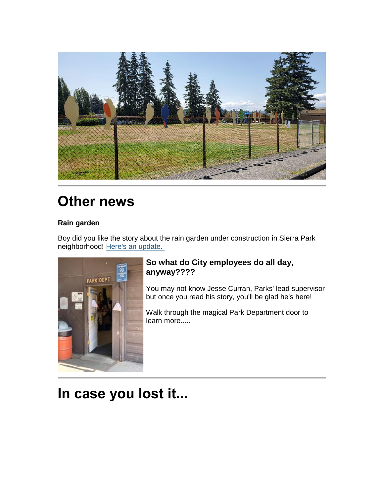

# **Other news**

### **Rain garden**

Boy did you like the story about the rain garden under construction in Sierra Park neighborhood! [Here's an update.](https://www.cityofedmondswa.com/post/from-the-field-rain-garden-progress)



### **So what do City employees do all day, anyway????**

You may not know Jesse Curran, Parks' lead supervisor but once you read his story, you'll be glad he's here!

Walk through the magical Park Department door to learn more.....

# **In case you lost it...**